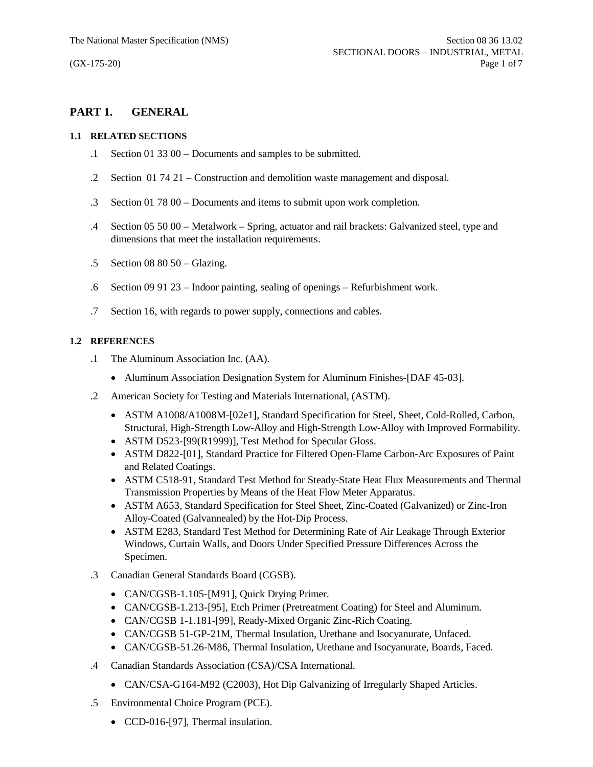# **PART 1. GENERAL**

#### **1.1 RELATED SECTIONS**

- .1 Section 01 33 00 Documents and samples to be submitted.
- .2 Section 01 74 21 Construction and demolition waste management and disposal.
- .3 Section 01 78 00 Documents and items to submit upon work completion.
- .4 Section 05 50 00 Metalwork Spring, actuator and rail brackets: Galvanized steel, type and dimensions that meet the installation requirements.
- .5 Section 08 80 50 Glazing.
- .6 Section 09 91 23 Indoor painting, sealing of openings Refurbishment work.
- .7 Section 16, with regards to power supply, connections and cables.

## **1.2 REFERENCES**

- .1 The Aluminum Association Inc. (AA).
	- Aluminum Association Designation System for Aluminum Finishes-[DAF 45-03].
- .2 American Society for Testing and Materials International, (ASTM).
	- · ASTM A1008/A1008M-[02e1], Standard Specification for Steel, Sheet, Cold-Rolled, Carbon, Structural, High-Strength Low-Alloy and High-Strength Low-Alloy with Improved Formability.
	- ASTM D523-[99(R1999)], Test Method for Specular Gloss.
	- · ASTM D822-[01], Standard Practice for Filtered Open-Flame Carbon-Arc Exposures of Paint and Related Coatings.
	- · ASTM C518-91, Standard Test Method for Steady-State Heat Flux Measurements and Thermal Transmission Properties by Means of the Heat Flow Meter Apparatus.
	- · ASTM A653, Standard Specification for Steel Sheet, Zinc-Coated (Galvanized) or Zinc-Iron Alloy-Coated (Galvannealed) by the Hot-Dip Process.
	- · ASTM E283, Standard Test Method for Determining Rate of Air Leakage Through Exterior Windows, Curtain Walls, and Doors Under Specified Pressure Differences Across the Specimen.
- .3 Canadian General Standards Board (CGSB).
	- CAN/CGSB-1.105-[M91], Quick Drying Primer.
	- · CAN/CGSB-1.213-[95], Etch Primer (Pretreatment Coating) for Steel and Aluminum.
	- · CAN/CGSB 1-1.181-[99], Ready-Mixed Organic Zinc-Rich Coating.
	- · CAN/CGSB 51-GP-21M, Thermal Insulation, Urethane and Isocyanurate, Unfaced.
	- · CAN/CGSB-51.26-M86, Thermal Insulation, Urethane and Isocyanurate, Boards, Faced.
- .4 Canadian Standards Association (CSA)/CSA International.
	- CAN/CSA-G164-M92 (C2003), Hot Dip Galvanizing of Irregularly Shaped Articles.
- .5 Environmental Choice Program (PCE).
	- CCD-016-[97], Thermal insulation.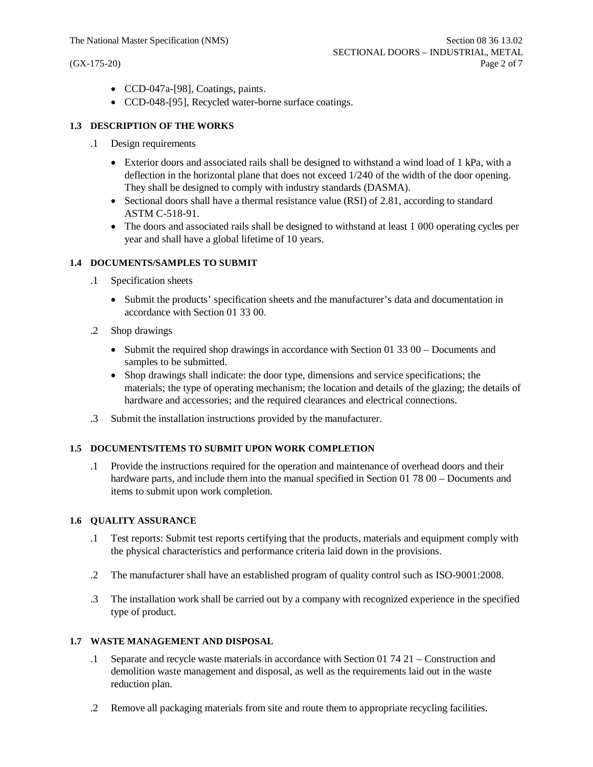- · CCD-047a-[98], Coatings, paints.
- · CCD-048-[95], Recycled water-borne surface coatings.

### **1.3 DESCRIPTION OF THE WORKS**

- .1 Design requirements
	- Exterior doors and associated rails shall be designed to withstand a wind load of 1 kPa, with a deflection in the horizontal plane that does not exceed 1/240 of the width of the door opening. They shall be designed to comply with industry standards (DASMA).
	- Sectional doors shall have a thermal resistance value (RSI) of 2.81, according to standard ASTM C-518-91.
	- The doors and associated rails shall be designed to withstand at least 1 000 operating cycles per year and shall have a global lifetime of 10 years.

## **1.4 DOCUMENTS/SAMPLES TO SUBMIT**

- .1 Specification sheets
	- · Submit the products' specification sheets and the manufacturer's data and documentation in accordance with Section 01 33 00.
- .2 Shop drawings
	- Submit the required shop drawings in accordance with Section 01 33 00 Documents and samples to be submitted.
	- · Shop drawings shall indicate: the door type, dimensions and service specifications; the materials; the type of operating mechanism; the location and details of the glazing; the details of hardware and accessories; and the required clearances and electrical connections.
- .3 Submit the installation instructions provided by the manufacturer.

#### **1.5 DOCUMENTS/ITEMS TO SUBMIT UPON WORK COMPLETION**

.1 Provide the instructions required for the operation and maintenance of overhead doors and their hardware parts, and include them into the manual specified in Section 01 78 00 – Documents and items to submit upon work completion.

#### **1.6 QUALITY ASSURANCE**

- .1 Test reports: Submit test reports certifying that the products, materials and equipment comply with the physical characteristics and performance criteria laid down in the provisions.
- .2 The manufacturer shall have an established program of quality control such as ISO-9001:2008.
- .3 The installation work shall be carried out by a company with recognized experience in the specified type of product.

#### **1.7 WASTE MANAGEMENT AND DISPOSAL**

- .1 Separate and recycle waste materials in accordance with Section 01 74 21 Construction and demolition waste management and disposal, as well as the requirements laid out in the waste reduction plan.
- .2 Remove all packaging materials from site and route them to appropriate recycling facilities.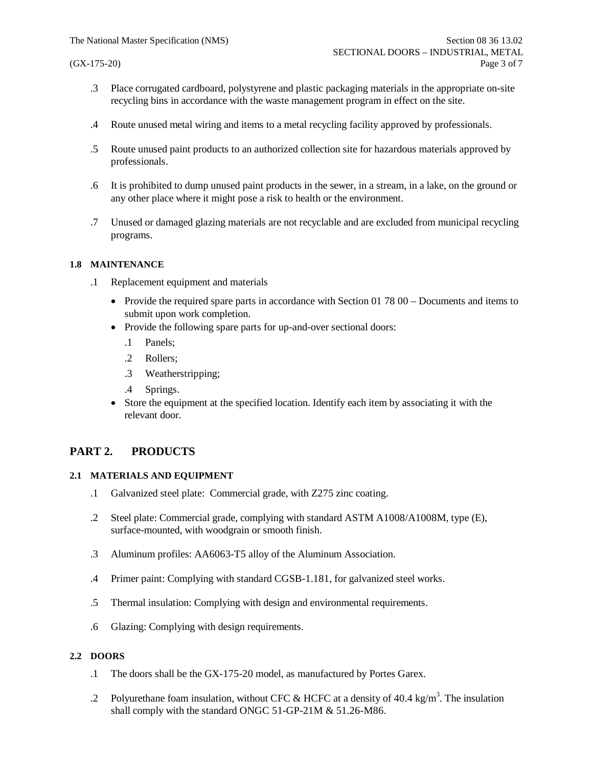- .3 Place corrugated cardboard, polystyrene and plastic packaging materials in the appropriate on-site recycling bins in accordance with the waste management program in effect on the site.
- .4 Route unused metal wiring and items to a metal recycling facility approved by professionals.
- .5 Route unused paint products to an authorized collection site for hazardous materials approved by professionals.
- .6 It is prohibited to dump unused paint products in the sewer, in a stream, in a lake, on the ground or any other place where it might pose a risk to health or the environment.
- .7 Unused or damaged glazing materials are not recyclable and are excluded from municipal recycling programs.

#### **1.8 MAINTENANCE**

- .1 Replacement equipment and materials
	- Provide the required spare parts in accordance with Section 01 78 00 Documents and items to submit upon work completion.
	- Provide the following spare parts for up-and-over sectional doors:
		- .1 Panels;
		- .2 Rollers;
		- .3 Weatherstripping;
		- .4 Springs.
	- Store the equipment at the specified location. Identify each item by associating it with the relevant door.

# **PART 2. PRODUCTS**

#### **2.1 MATERIALS AND EQUIPMENT**

- .1 Galvanized steel plate: Commercial grade, with Z275 zinc coating.
- .2 Steel plate: Commercial grade, complying with standard ASTM A1008/A1008M, type (E), surface-mounted, with woodgrain or smooth finish.
- .3 Aluminum profiles: AA6063-T5 alloy of the Aluminum Association.
- .4 Primer paint: Complying with standard CGSB-1.181, for galvanized steel works.
- .5 Thermal insulation: Complying with design and environmental requirements.
- .6 Glazing: Complying with design requirements.

### **2.2 DOORS**

- .1 The doors shall be the GX-175-20 model, as manufactured by Portes Garex.
- .2 Polyurethane foam insulation, without CFC & HCFC at a density of 40.4 kg/m<sup>3</sup>. The insulation shall comply with the standard ONGC 51-GP-21M & 51.26-M86.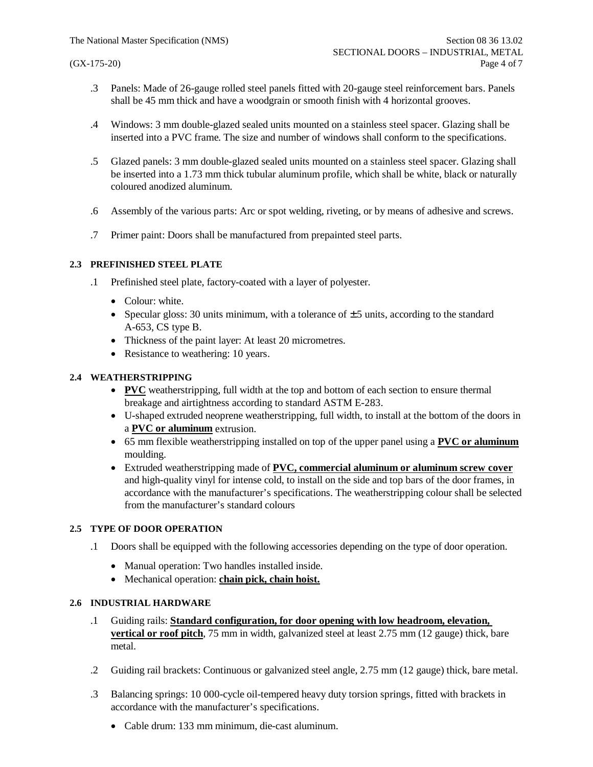- .3 Panels: Made of 26-gauge rolled steel panels fitted with 20-gauge steel reinforcement bars. Panels shall be 45 mm thick and have a woodgrain or smooth finish with 4 horizontal grooves.
- .4 Windows: 3 mm double-glazed sealed units mounted on a stainless steel spacer. Glazing shall be inserted into a PVC frame. The size and number of windows shall conform to the specifications.
- .5 Glazed panels: 3 mm double-glazed sealed units mounted on a stainless steel spacer. Glazing shall be inserted into a 1.73 mm thick tubular aluminum profile, which shall be white, black or naturally coloured anodized aluminum.
- .6 Assembly of the various parts: Arc or spot welding, riveting, or by means of adhesive and screws.
- .7 Primer paint: Doors shall be manufactured from prepainted steel parts.

#### **2.3 PREFINISHED STEEL PLATE**

- .1 Prefinished steel plate, factory-coated with a layer of polyester.
	- Colour: white.
	- Specular gloss: 30 units minimum, with a tolerance of  $\pm$  5 units, according to the standard A-653, CS type B.
	- · Thickness of the paint layer: At least 20 micrometres.
	- Resistance to weathering: 10 years.

## **2.4 WEATHERSTRIPPING**

- · **PVC** weatherstripping, full width at the top and bottom of each section to ensure thermal breakage and airtightness according to standard ASTM E-283.
- · U-shaped extruded neoprene weatherstripping, full width, to install at the bottom of the doors in a **PVC or aluminum** extrusion.
- · 65 mm flexible weatherstripping installed on top of the upper panel using a **PVC or aluminum** moulding.
- · Extruded weatherstripping made of **PVC, commercial aluminum or aluminum screw cover** and high-quality vinyl for intense cold, to install on the side and top bars of the door frames, in accordance with the manufacturer's specifications. The weatherstripping colour shall be selected from the manufacturer's standard colours

#### **2.5 TYPE OF DOOR OPERATION**

- .1 Doors shall be equipped with the following accessories depending on the type of door operation.
	- · Manual operation: Two handles installed inside.
	- · Mechanical operation: **chain pick, chain hoist.**

#### **2.6 INDUSTRIAL HARDWARE**

- .1 Guiding rails: **Standard configuration, for door opening with low headroom, elevation, vertical or roof pitch**, 75 mm in width, galvanized steel at least 2.75 mm (12 gauge) thick, bare metal.
- .2 Guiding rail brackets: Continuous or galvanized steel angle, 2.75 mm (12 gauge) thick, bare metal.
- .3 Balancing springs: 10 000-cycle oil-tempered heavy duty torsion springs, fitted with brackets in accordance with the manufacturer's specifications.
	- · Cable drum: 133 mm minimum, die-cast aluminum.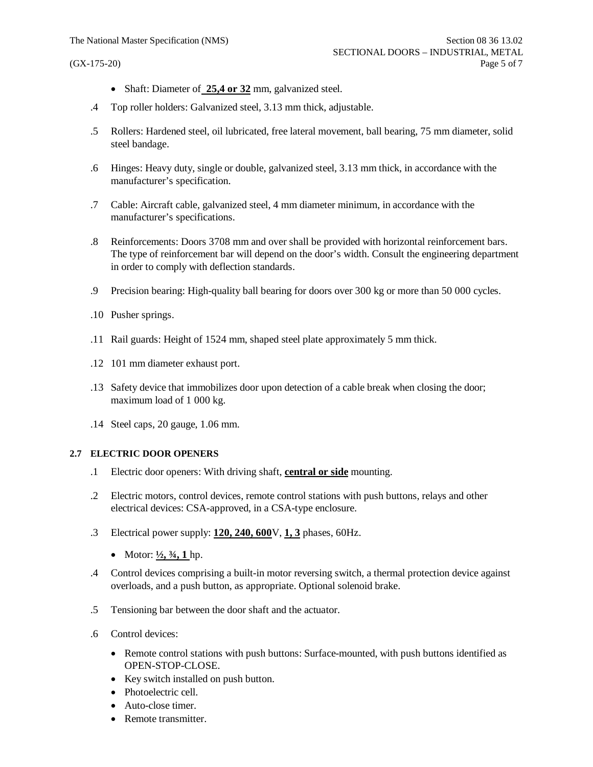- Shaft: Diameter of 25,4 or 32 mm, galvanized steel.
- .4 Top roller holders: Galvanized steel, 3.13 mm thick, adjustable.
- .5 Rollers: Hardened steel, oil lubricated, free lateral movement, ball bearing, 75 mm diameter, solid steel bandage.
- .6 Hinges: Heavy duty, single or double, galvanized steel, 3.13 mm thick, in accordance with the manufacturer's specification.
- .7 Cable: Aircraft cable, galvanized steel, 4 mm diameter minimum, in accordance with the manufacturer's specifications.
- .8 Reinforcements: Doors 3708 mm and over shall be provided with horizontal reinforcement bars. The type of reinforcement bar will depend on the door's width. Consult the engineering department in order to comply with deflection standards.
- .9 Precision bearing: High-quality ball bearing for doors over 300 kg or more than 50 000 cycles.
- .10 Pusher springs.
- .11 Rail guards: Height of 1524 mm, shaped steel plate approximately 5 mm thick.
- .12 101 mm diameter exhaust port.
- .13 Safety device that immobilizes door upon detection of a cable break when closing the door; maximum load of 1 000 kg.
- .14 Steel caps, 20 gauge, 1.06 mm.

### **2.7 ELECTRIC DOOR OPENERS**

- .1 Electric door openers: With driving shaft, **central or side** mounting.
- .2 Electric motors, control devices, remote control stations with push buttons, relays and other electrical devices: CSA-approved, in a CSA-type enclosure.
- .3 Electrical power supply: **120, 240, 600**V, **1, 3** phases, 60Hz.
	- Motor:  $\frac{1}{2}$ ,  $\frac{3}{4}$ , 1 hp.
- .4 Control devices comprising a built-in motor reversing switch, a thermal protection device against overloads, and a push button, as appropriate. Optional solenoid brake.
- .5 Tensioning bar between the door shaft and the actuator.
- .6 Control devices:
	- Remote control stations with push buttons: Surface-mounted, with push buttons identified as OPEN-STOP-CLOSE.
	- · Key switch installed on push button.
	- Photoelectric cell.
	- Auto-close timer.
	- Remote transmitter.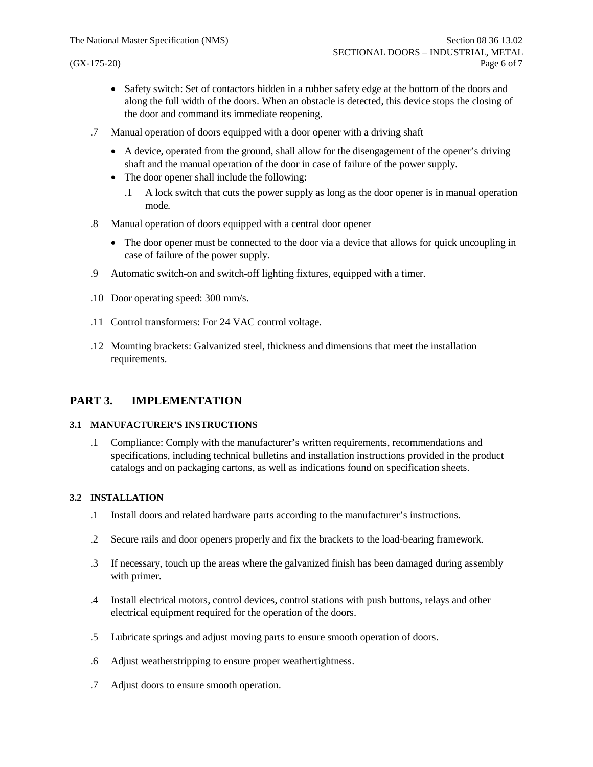- Safety switch: Set of contactors hidden in a rubber safety edge at the bottom of the doors and along the full width of the doors. When an obstacle is detected, this device stops the closing of the door and command its immediate reopening.
- .7 Manual operation of doors equipped with a door opener with a driving shaft
	- · A device, operated from the ground, shall allow for the disengagement of the opener's driving shaft and the manual operation of the door in case of failure of the power supply.
	- The door opener shall include the following:
		- .1 A lock switch that cuts the power supply as long as the door opener is in manual operation mode.
- .8 Manual operation of doors equipped with a central door opener
	- The door opener must be connected to the door via a device that allows for quick uncoupling in case of failure of the power supply.
- .9 Automatic switch-on and switch-off lighting fixtures, equipped with a timer.
- .10 Door operating speed: 300 mm/s.
- .11 Control transformers: For 24 VAC control voltage.
- .12 Mounting brackets: Galvanized steel, thickness and dimensions that meet the installation requirements.

# **PART 3. IMPLEMENTATION**

#### **3.1 MANUFACTURER'S INSTRUCTIONS**

.1 Compliance: Comply with the manufacturer's written requirements, recommendations and specifications, including technical bulletins and installation instructions provided in the product catalogs and on packaging cartons, as well as indications found on specification sheets.

#### **3.2 INSTALLATION**

- .1 Install doors and related hardware parts according to the manufacturer's instructions.
- .2 Secure rails and door openers properly and fix the brackets to the load-bearing framework.
- .3 If necessary, touch up the areas where the galvanized finish has been damaged during assembly with primer.
- .4 Install electrical motors, control devices, control stations with push buttons, relays and other electrical equipment required for the operation of the doors.
- .5 Lubricate springs and adjust moving parts to ensure smooth operation of doors.
- .6 Adjust weatherstripping to ensure proper weathertightness.
- .7 Adjust doors to ensure smooth operation.